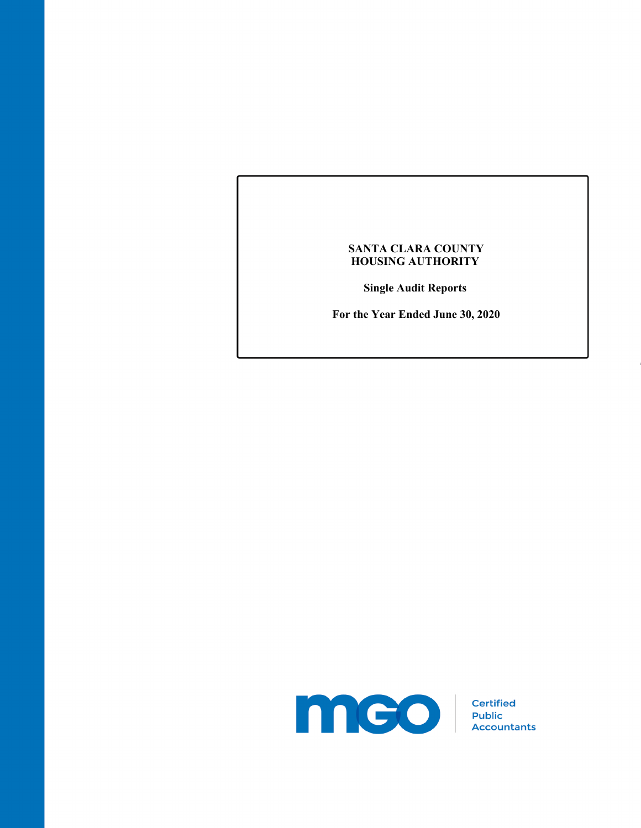## **SANTA CLARA COUNTY HOUSING AUTHORITY**

**Single Audit Reports** 

**For the Year Ended June 30, 2020** 

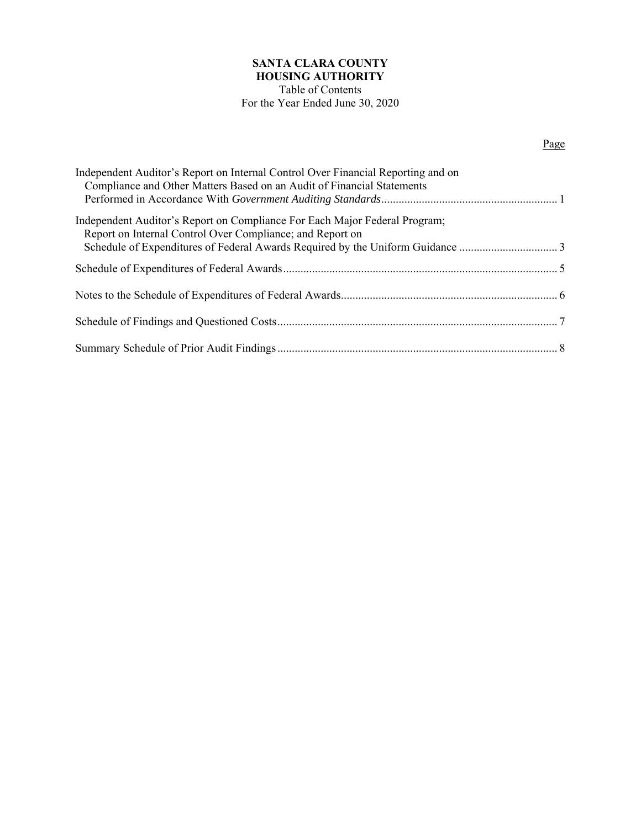# **SANTA CLARA COUNTY HOUSING AUTHORITY**

## Table of Contents For the Year Ended June 30, 2020

## Page

| Independent Auditor's Report on Internal Control Over Financial Reporting and on<br>Compliance and Other Matters Based on an Audit of Financial Statements |  |
|------------------------------------------------------------------------------------------------------------------------------------------------------------|--|
| Independent Auditor's Report on Compliance For Each Major Federal Program;<br>Report on Internal Control Over Compliance; and Report on                    |  |
|                                                                                                                                                            |  |
|                                                                                                                                                            |  |
|                                                                                                                                                            |  |
|                                                                                                                                                            |  |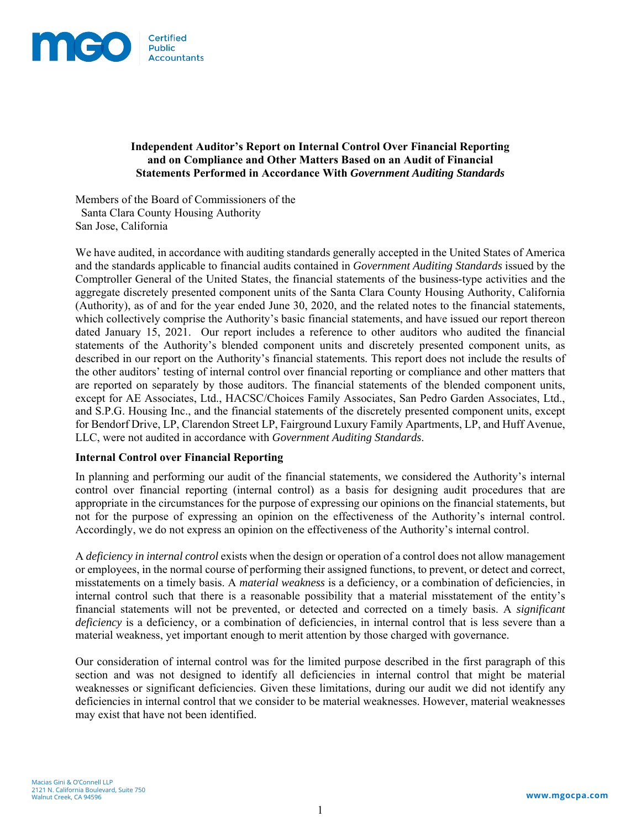

### **Independent Auditor's Report on Internal Control Over Financial Reporting and on Compliance and Other Matters Based on an Audit of Financial Statements Performed in Accordance With** *Government Auditing Standards*

Members of the Board of Commissioners of the Santa Clara County Housing Authority San Jose, California

We have audited, in accordance with auditing standards generally accepted in the United States of America and the standards applicable to financial audits contained in *Government Auditing Standards* issued by the Comptroller General of the United States, the financial statements of the business-type activities and the aggregate discretely presented component units of the Santa Clara County Housing Authority, California (Authority), as of and for the year ended June 30, 2020, and the related notes to the financial statements, which collectively comprise the Authority's basic financial statements, and have issued our report thereon dated January 15, 2021. Our report includes a reference to other auditors who audited the financial statements of the Authority's blended component units and discretely presented component units, as described in our report on the Authority's financial statements. This report does not include the results of the other auditors' testing of internal control over financial reporting or compliance and other matters that are reported on separately by those auditors. The financial statements of the blended component units, except for AE Associates, Ltd., HACSC/Choices Family Associates, San Pedro Garden Associates, Ltd., and S.P.G. Housing Inc., and the financial statements of the discretely presented component units, except for Bendorf Drive, LP, Clarendon Street LP, Fairground Luxury Family Apartments, LP, and Huff Avenue, LLC, were not audited in accordance with *Government Auditing Standards*.

### **Internal Control over Financial Reporting**

In planning and performing our audit of the financial statements, we considered the Authority's internal control over financial reporting (internal control) as a basis for designing audit procedures that are appropriate in the circumstances for the purpose of expressing our opinions on the financial statements, but not for the purpose of expressing an opinion on the effectiveness of the Authority's internal control. Accordingly, we do not express an opinion on the effectiveness of the Authority's internal control.

A *deficiency in internal control* exists when the design or operation of a control does not allow management or employees, in the normal course of performing their assigned functions, to prevent, or detect and correct, misstatements on a timely basis. A *material weakness* is a deficiency, or a combination of deficiencies, in internal control such that there is a reasonable possibility that a material misstatement of the entity's financial statements will not be prevented, or detected and corrected on a timely basis. A *significant deficiency* is a deficiency, or a combination of deficiencies, in internal control that is less severe than a material weakness, yet important enough to merit attention by those charged with governance.

Our consideration of internal control was for the limited purpose described in the first paragraph of this section and was not designed to identify all deficiencies in internal control that might be material weaknesses or significant deficiencies. Given these limitations, during our audit we did not identify any deficiencies in internal control that we consider to be material weaknesses. However, material weaknesses may exist that have not been identified.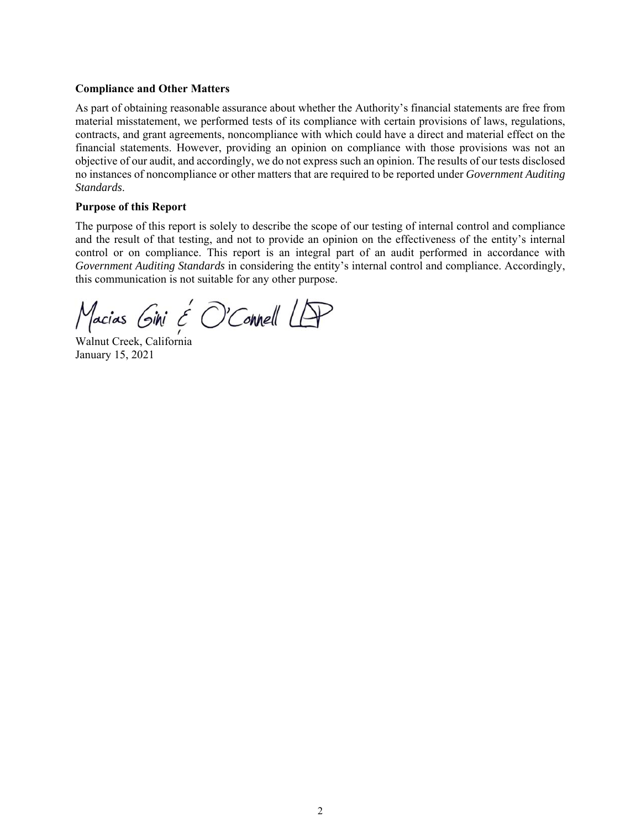### **Compliance and Other Matters**

As part of obtaining reasonable assurance about whether the Authority's financial statements are free from material misstatement, we performed tests of its compliance with certain provisions of laws, regulations, contracts, and grant agreements, noncompliance with which could have a direct and material effect on the financial statements. However, providing an opinion on compliance with those provisions was not an objective of our audit, and accordingly, we do not express such an opinion. The results of our tests disclosed no instances of noncompliance or other matters that are required to be reported under *Government Auditing Standards*.

### **Purpose of this Report**

The purpose of this report is solely to describe the scope of our testing of internal control and compliance and the result of that testing, and not to provide an opinion on the effectiveness of the entity's internal control or on compliance. This report is an integral part of an audit performed in accordance with *Government Auditing Standards* in considering the entity's internal control and compliance. Accordingly, this communication is not suitable for any other purpose.

 $M$ acias Gini  $\epsilon$  O'Connell LP<br>Walnut Creek, California

January 15, 2021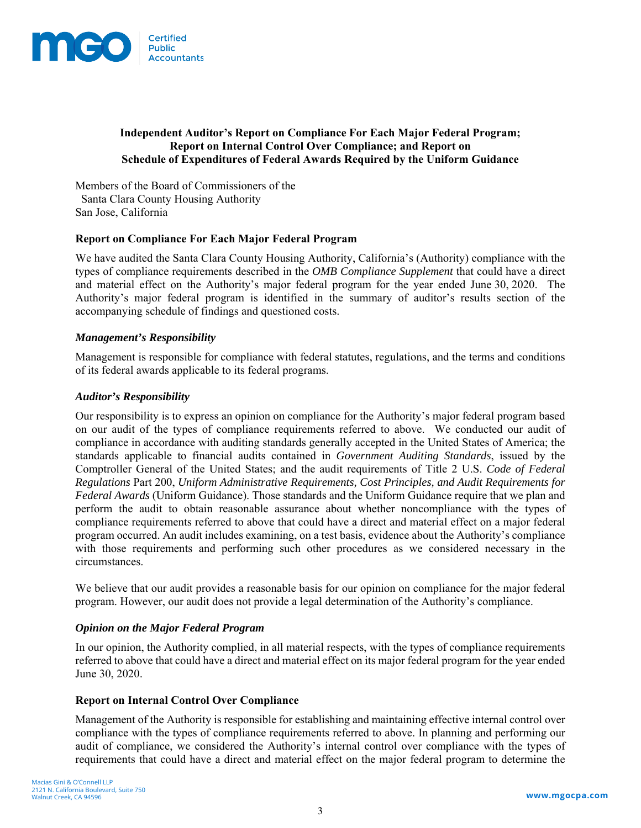

### **Independent Auditor's Report on Compliance For Each Major Federal Program; Report on Internal Control Over Compliance; and Report on Schedule of Expenditures of Federal Awards Required by the Uniform Guidance**

Members of the Board of Commissioners of the Santa Clara County Housing Authority San Jose, California

### **Report on Compliance For Each Major Federal Program**

We have audited the Santa Clara County Housing Authority, California's (Authority) compliance with the types of compliance requirements described in the *OMB Compliance Supplement* that could have a direct and material effect on the Authority's major federal program for the year ended June 30, 2020. The Authority's major federal program is identified in the summary of auditor's results section of the accompanying schedule of findings and questioned costs.

### *Management's Responsibility*

Management is responsible for compliance with federal statutes, regulations, and the terms and conditions of its federal awards applicable to its federal programs.

### *Auditor's Responsibility*

Our responsibility is to express an opinion on compliance for the Authority's major federal program based on our audit of the types of compliance requirements referred to above. We conducted our audit of compliance in accordance with auditing standards generally accepted in the United States of America; the standards applicable to financial audits contained in *Government Auditing Standards*, issued by the Comptroller General of the United States; and the audit requirements of Title 2 U.S. *Code of Federal Regulations* Part 200, *Uniform Administrative Requirements, Cost Principles, and Audit Requirements for Federal Awards* (Uniform Guidance). Those standards and the Uniform Guidance require that we plan and perform the audit to obtain reasonable assurance about whether noncompliance with the types of compliance requirements referred to above that could have a direct and material effect on a major federal program occurred. An audit includes examining, on a test basis, evidence about the Authority's compliance with those requirements and performing such other procedures as we considered necessary in the circumstances.

We believe that our audit provides a reasonable basis for our opinion on compliance for the major federal program. However, our audit does not provide a legal determination of the Authority's compliance.

#### *Opinion on the Major Federal Program*

In our opinion, the Authority complied, in all material respects, with the types of compliance requirements referred to above that could have a direct and material effect on its major federal program for the year ended June 30, 2020.

#### **Report on Internal Control Over Compliance**

Management of the Authority is responsible for establishing and maintaining effective internal control over compliance with the types of compliance requirements referred to above. In planning and performing our audit of compliance, we considered the Authority's internal control over compliance with the types of requirements that could have a direct and material effect on the major federal program to determine the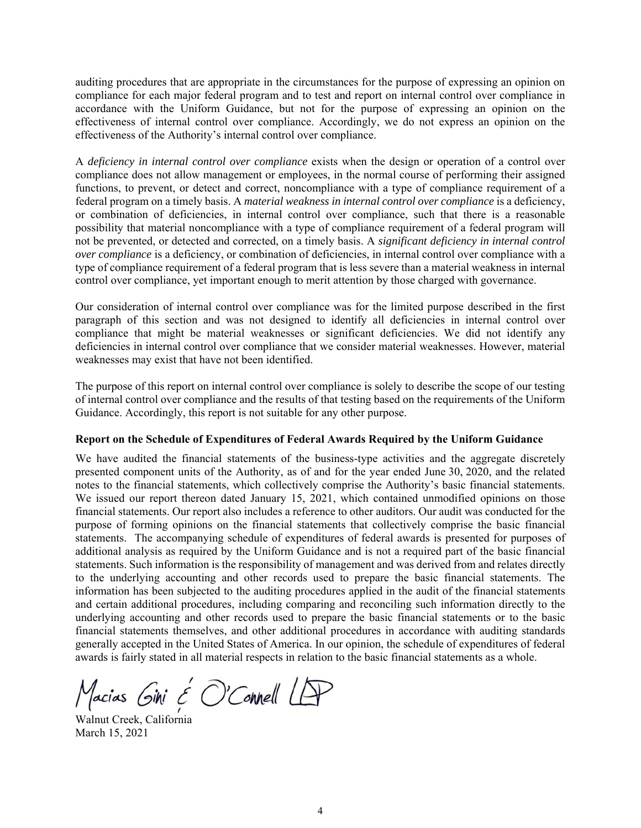auditing procedures that are appropriate in the circumstances for the purpose of expressing an opinion on compliance for each major federal program and to test and report on internal control over compliance in accordance with the Uniform Guidance, but not for the purpose of expressing an opinion on the effectiveness of internal control over compliance. Accordingly, we do not express an opinion on the effectiveness of the Authority's internal control over compliance.

A *deficiency in internal control over compliance* exists when the design or operation of a control over compliance does not allow management or employees, in the normal course of performing their assigned functions, to prevent, or detect and correct, noncompliance with a type of compliance requirement of a federal program on a timely basis. A *material weakness in internal control over compliance* is a deficiency, or combination of deficiencies, in internal control over compliance, such that there is a reasonable possibility that material noncompliance with a type of compliance requirement of a federal program will not be prevented, or detected and corrected, on a timely basis. A *significant deficiency in internal control over compliance* is a deficiency, or combination of deficiencies, in internal control over compliance with a type of compliance requirement of a federal program that is less severe than a material weakness in internal control over compliance, yet important enough to merit attention by those charged with governance.

Our consideration of internal control over compliance was for the limited purpose described in the first paragraph of this section and was not designed to identify all deficiencies in internal control over compliance that might be material weaknesses or significant deficiencies. We did not identify any deficiencies in internal control over compliance that we consider material weaknesses. However, material weaknesses may exist that have not been identified.

The purpose of this report on internal control over compliance is solely to describe the scope of our testing of internal control over compliance and the results of that testing based on the requirements of the Uniform Guidance. Accordingly, this report is not suitable for any other purpose.

#### **Report on the Schedule of Expenditures of Federal Awards Required by the Uniform Guidance**

We have audited the financial statements of the business-type activities and the aggregate discretely presented component units of the Authority, as of and for the year ended June 30, 2020, and the related notes to the financial statements, which collectively comprise the Authority's basic financial statements. We issued our report thereon dated January 15, 2021, which contained unmodified opinions on those financial statements. Our report also includes a reference to other auditors. Our audit was conducted for the purpose of forming opinions on the financial statements that collectively comprise the basic financial statements. The accompanying schedule of expenditures of federal awards is presented for purposes of additional analysis as required by the Uniform Guidance and is not a required part of the basic financial statements. Such information is the responsibility of management and was derived from and relates directly to the underlying accounting and other records used to prepare the basic financial statements. The information has been subjected to the auditing procedures applied in the audit of the financial statements and certain additional procedures, including comparing and reconciling such information directly to the underlying accounting and other records used to prepare the basic financial statements or to the basic financial statements themselves, and other additional procedures in accordance with auditing standards generally accepted in the United States of America. In our opinion, the schedule of expenditures of federal awards is fairly stated in all material respects in relation to the basic financial statements as a whole.

 $M$ acias Gini  $\epsilon$  O'Connell LP<br>Walnut Creek, California

March 15, 2021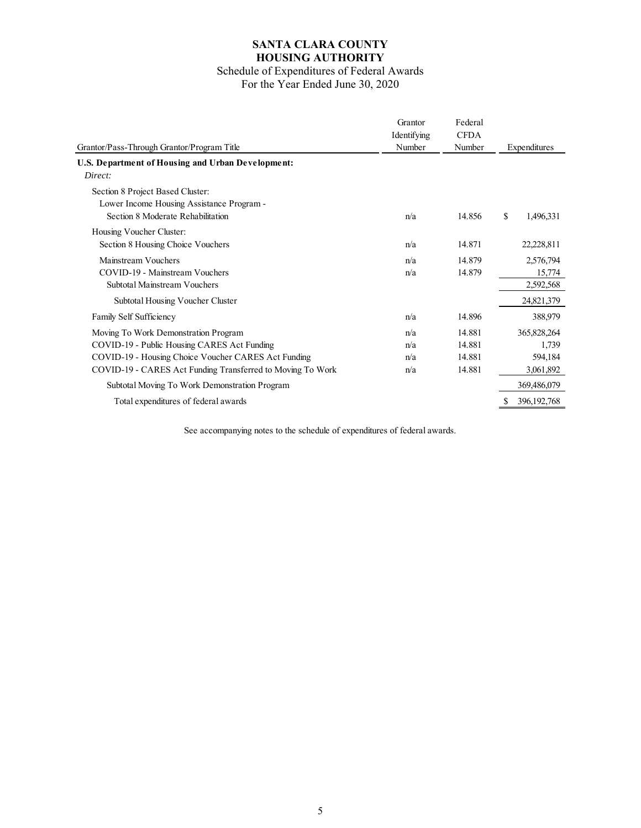# **SANTA CLARA COUNTY HOUSING AUTHORITY**

### Schedule of Expenditures of Federal Awards For the Year Ended June 30, 2020

| Grantor/Pass-Through Grantor/Program Title                                                                                                                                                               | Grantor<br>Identifying<br>Number | Federal<br><b>CFDA</b><br>Number     | Expenditures                                 |
|----------------------------------------------------------------------------------------------------------------------------------------------------------------------------------------------------------|----------------------------------|--------------------------------------|----------------------------------------------|
| U.S. Department of Housing and Urban Development:                                                                                                                                                        |                                  |                                      |                                              |
| Direct:                                                                                                                                                                                                  |                                  |                                      |                                              |
| Section 8 Project Based Cluster:<br>Lower Income Housing Assistance Program -<br>Section 8 Moderate Rehabilitation                                                                                       | n/a                              | 14.856                               | \$<br>1,496,331                              |
| Housing Voucher Cluster:<br>Section 8 Housing Choice Vouchers                                                                                                                                            | n/a                              | 14.871                               | 22,228,811                                   |
| Mainstream Vouchers<br>COVID-19 - Mainstream Vouchers<br>Subtotal Mainstream Vouchers                                                                                                                    | n/a<br>n/a                       | 14.879<br>14.879                     | 2,576,794<br>15,774<br>2,592,568             |
| Subtotal Housing Voucher Cluster                                                                                                                                                                         |                                  |                                      | 24,821,379                                   |
| Family Self Sufficiency                                                                                                                                                                                  | n/a                              | 14.896                               | 388,979                                      |
| Moving To Work Demonstration Program<br>COVID-19 - Public Housing CARES Act Funding<br>COVID-19 - Housing Choice Voucher CARES Act Funding<br>COVID-19 - CARES Act Funding Transferred to Moving To Work | n/a<br>n/a<br>n/a<br>n/a         | 14.881<br>14.881<br>14.881<br>14.881 | 365,828,264<br>1,739<br>594,184<br>3,061,892 |
| Subtotal Moving To Work Demonstration Program                                                                                                                                                            |                                  |                                      | 369,486,079                                  |
| Total expenditures of federal awards                                                                                                                                                                     |                                  |                                      | 396, 192, 768                                |

See accompanying notes to the schedule of expenditures of federal awards.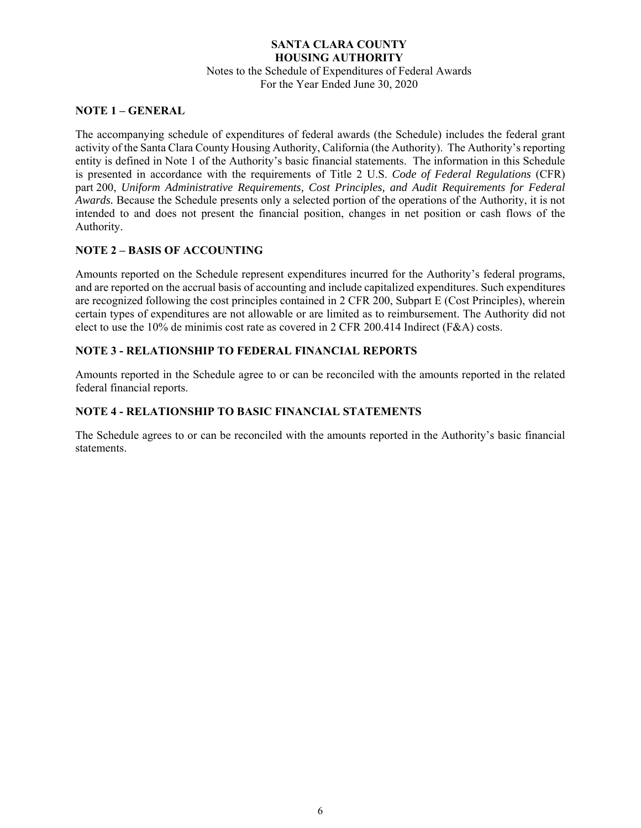## **SANTA CLARA COUNTY HOUSING AUTHORITY**  Notes to the Schedule of Expenditures of Federal Awards For the Year Ended June 30, 2020

### **NOTE 1 – GENERAL**

The accompanying schedule of expenditures of federal awards (the Schedule) includes the federal grant activity of the Santa Clara County Housing Authority, California (the Authority). The Authority's reporting entity is defined in Note 1 of the Authority's basic financial statements. The information in this Schedule is presented in accordance with the requirements of Title 2 U.S. *Code of Federal Regulations* (CFR) part 200, *Uniform Administrative Requirements, Cost Principles, and Audit Requirements for Federal Awards.* Because the Schedule presents only a selected portion of the operations of the Authority, it is not intended to and does not present the financial position, changes in net position or cash flows of the Authority.

## **NOTE 2 – BASIS OF ACCOUNTING**

Amounts reported on the Schedule represent expenditures incurred for the Authority's federal programs, and are reported on the accrual basis of accounting and include capitalized expenditures. Such expenditures are recognized following the cost principles contained in 2 CFR 200, Subpart E (Cost Principles), wherein certain types of expenditures are not allowable or are limited as to reimbursement. The Authority did not elect to use the 10% de minimis cost rate as covered in 2 CFR 200.414 Indirect (F&A) costs.

### **NOTE 3 - RELATIONSHIP TO FEDERAL FINANCIAL REPORTS**

Amounts reported in the Schedule agree to or can be reconciled with the amounts reported in the related federal financial reports.

### **NOTE 4 - RELATIONSHIP TO BASIC FINANCIAL STATEMENTS**

The Schedule agrees to or can be reconciled with the amounts reported in the Authority's basic financial statements.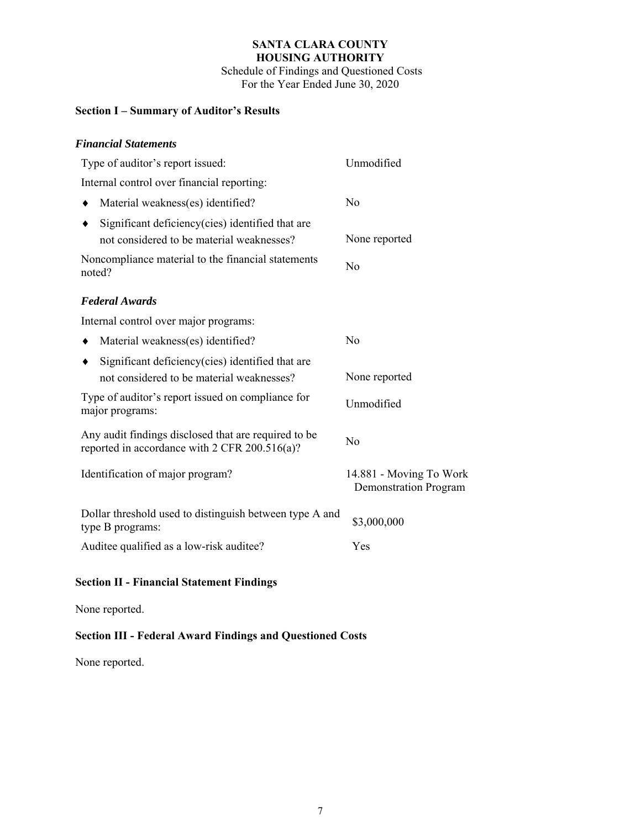### **SANTA CLARA COUNTY HOUSING AUTHORITY** Schedule of Findings and Questioned Costs

For the Year Ended June 30, 2020

## **Section I – Summary of Auditor's Results**

## *Financial Statements*

| Type of auditor's report issued:                                                                      | Unmodified                                              |  |
|-------------------------------------------------------------------------------------------------------|---------------------------------------------------------|--|
| Internal control over financial reporting:                                                            |                                                         |  |
| Material weakness(es) identified?                                                                     | No                                                      |  |
| Significant deficiency (cies) identified that are<br>not considered to be material weaknesses?        | None reported                                           |  |
| Noncompliance material to the financial statements<br>noted?                                          | N <sub>o</sub>                                          |  |
| <b>Federal Awards</b>                                                                                 |                                                         |  |
| Internal control over major programs:                                                                 |                                                         |  |
| Material weakness(es) identified?                                                                     | No                                                      |  |
| Significant deficiency(cies) identified that are<br>not considered to be material weaknesses?         | None reported                                           |  |
| Type of auditor's report issued on compliance for<br>major programs:                                  | Unmodified                                              |  |
| Any audit findings disclosed that are required to be<br>reported in accordance with 2 CFR 200.516(a)? | N <sub>o</sub>                                          |  |
| Identification of major program?                                                                      | 14.881 - Moving To Work<br><b>Demonstration Program</b> |  |
| Dollar threshold used to distinguish between type A and<br>type B programs:                           | \$3,000,000                                             |  |
| Auditee qualified as a low-risk auditee?                                                              | Yes                                                     |  |

# **Section II - Financial Statement Findings**

None reported.

## **Section III - Federal Award Findings and Questioned Costs**

None reported.